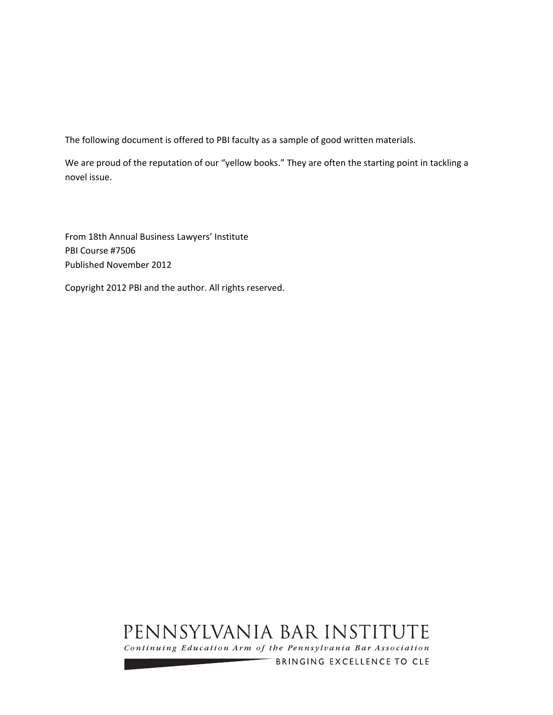The following document is offered to PBI faculty as a sample of good written materials.

We are proud of the reputation of our "yellow books." They are often the starting point in tackling a novel issue.

From 18th Annual Business Lawyers' Institute PBI Course #7506 Published November 2012

Copyright 2012 PBI and the author. All rights reserved.

# PENNSYLVANIA BAR INSTITUTE

Continuing Education Arm of the Pennsylvania Bar Association

BRINGING EXCELLENCE TO CLE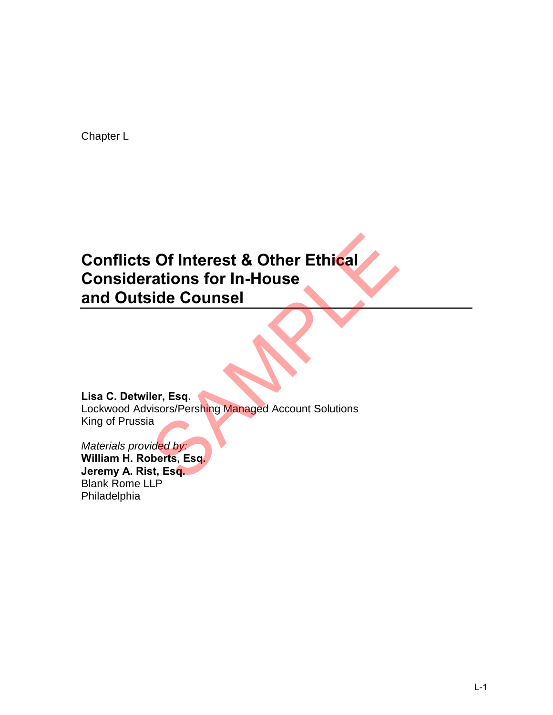Chapter L

# **Conflicts Of Interest & Other Ethical Considerations for In-House and Outside Counsel** Correct & Other Ethical<br>
Validions for In-House<br>
Side Counsel<br>
Misors/Pershing Managed Account Solutions<br>
Misors/Pershing<br>
Managed Account Solutions<br>
the Esq.<br>
t, Esq.<br>
LF<br>
LP

**Lisa C. Detwiler, Esq.** Lockwood Advisors/Pershing Managed Account Solutions King of Prussia

*Materials provided by:* **William H. Roberts, Esq. Jeremy A. Rist, Esq.** Blank Rome LLP Philadelphia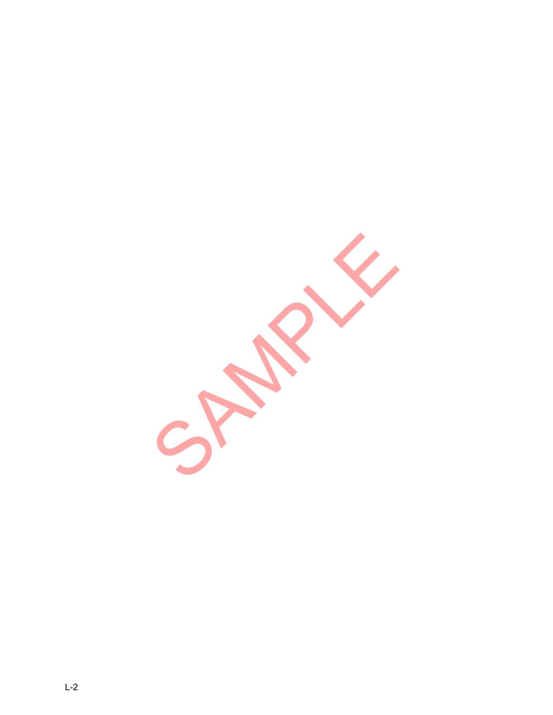CAMPLE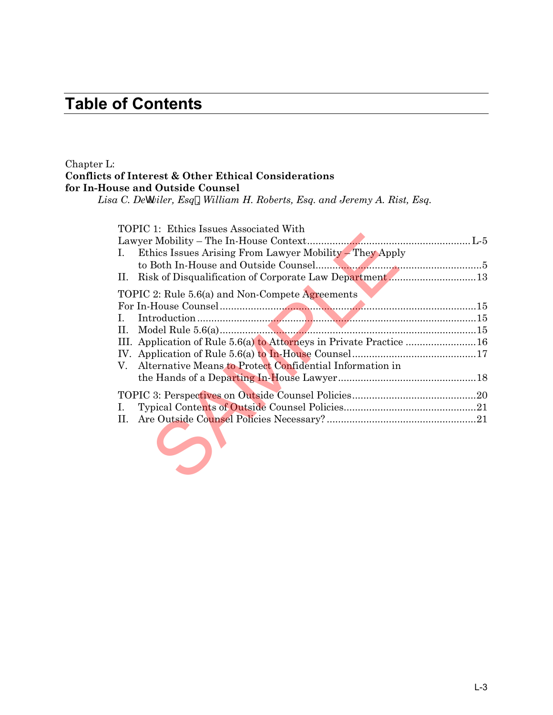# **Table of Contents**

#### Chapter L: **Conflicts of Interest & Other Ethical Considerations for In-House and Outside Counsel**

*Lisa C. DeWwiler, Esq, William H. Roberts, Esq. and Jeremy A. Rist, Esq.*

| TOPIC 1: Ethics Issues Associated With                         |       |
|----------------------------------------------------------------|-------|
|                                                                |       |
| Ethics Issues Arising From Lawyer Mobility - They Apply<br>I.  |       |
|                                                                |       |
| Risk of Disqualification of Corporate Law Department13<br>П.   |       |
| TOPIC 2: Rule 5.6(a) and Non-Compete Agreements                |       |
|                                                                |       |
| T.                                                             |       |
| II.                                                            |       |
|                                                                |       |
| Alternative Means to Protect Confidential Information in<br>V. |       |
|                                                                |       |
|                                                                |       |
| I.                                                             |       |
| Π.                                                             |       |
|                                                                |       |
|                                                                |       |
|                                                                |       |
|                                                                |       |
|                                                                |       |
|                                                                |       |
|                                                                | $L-3$ |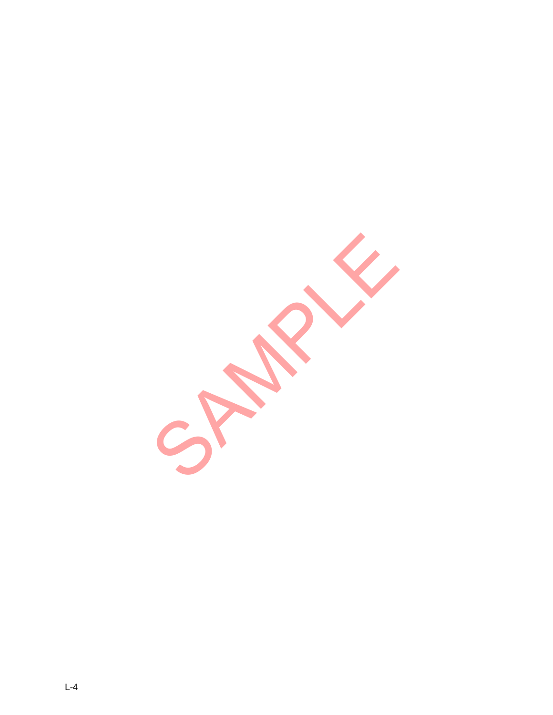$S_{\lambda}$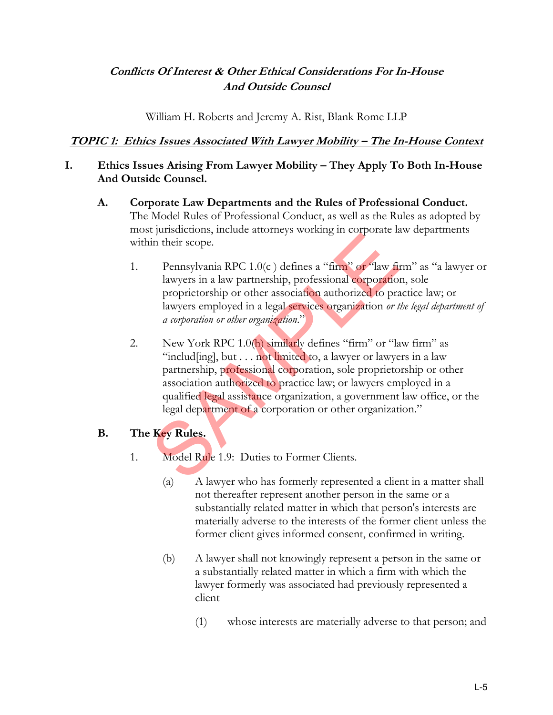## <span id="page-5-0"></span>**Conflicts Of Interest & Other Ethical Considerations For In-House And Outside Counsel**

William H. Roberts and Jeremy A. Rist, Blank Rome LLP

#### **TOPIC 1: Ethics Issues Associated With Lawyer Mobility – The In-House Context**

#### **I. Ethics Issues Arising From Lawyer Mobility – They Apply To Both In-House And Outside Counsel.**

- **A. Corporate Law Departments and the Rules of Professional Conduct.** The Model Rules of Professional Conduct, as well as the Rules as adopted by most jurisdictions, include attorneys working in corporate law departments within their scope.
	- 1. Pennsylvania RPC 1.0(c) defines a "firm" or "law firm" as "a lawyer or lawyers in a law partnership, professional corporation, sole proprietorship or other association authorized to practice law; or lawyers employed in a legal services organization *or the legal department of a corporation or other organization*."
	- 2. New York RPC  $1.0(h)$  similarly defines "firm" or "law firm" as "includ[ing], but  $\dots$  not limited to, a lawyer or lawyers in a law partnership, professional corporation, sole proprietorship or other association authorized to practice law; or lawyers employed in a qualified legal assistance organization, a government law office, or the legal department of a corporation or other organization." From their scope.<br>
	In their scope.<br>
	Then their scope.<br>
	Then their scope.<br>
	Pennsylvania RPC 1.0(c) defines a "firm" or "law firm" as "a lawyer or<br>
	have respectively to other association authorized to practice law, or<br>
	Have
- **B. The Key Rules.** 
	- 1. Model Rule 1.9: Duties to Former Clients.
		- (a) A lawyer who has formerly represented a client in a matter shall not thereafter represent another person in the same or a substantially related matter in which that person's interests are materially adverse to the interests of the former client unless the former client gives informed consent, confirmed in writing.
		- (b) A lawyer shall not knowingly represent a person in the same or a substantially related matter in which a firm with which the lawyer formerly was associated had previously represented a client
			- (1) whose interests are materially adverse to that person; and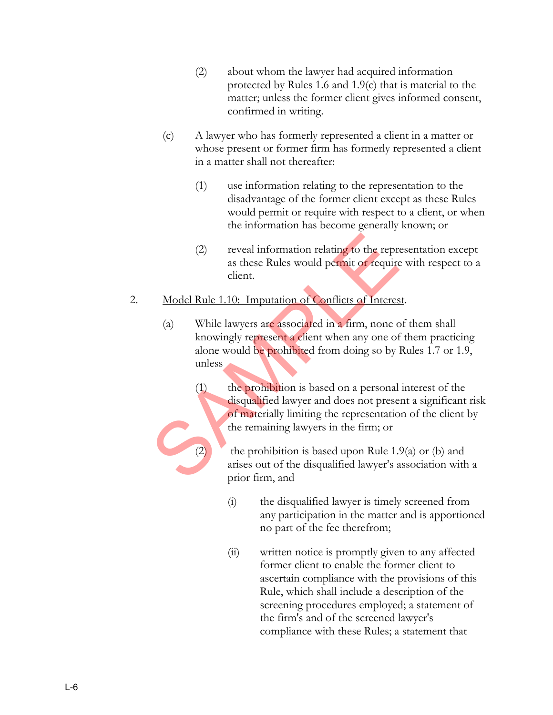- (2) about whom the lawyer had acquired information protected by Rules 1.6 and 1.9(c) that is material to the matter; unless the former client gives informed consent, confirmed in writing.
- (c) A lawyer who has formerly represented a client in a matter or whose present or former firm has formerly represented a client in a matter shall not thereafter:
	- (1) use information relating to the representation to the disadvantage of the former client except as these Rules would permit or require with respect to a client, or when the information has become generally known; or
	- (2) reveal information relating to the representation except as these Rules would permit or require with respect to a client.
- 2. Model Rule 1.10: Imputation of Conflicts of Interest.
	- (a) While lawyers are associated in a firm, none of them shall knowingly represent a client when any one of them practicing alone would be prohibited from doing so by Rules 1.7 or 1.9, unless
		- (1) the prohibition is based on a personal interest of the disqualified lawyer and does not present a significant risk of materially limiting the representation of the client by the remaining lawyers in the firm; or
			- the prohibition is based upon Rule  $1.9(a)$  or (b) and arises out of the disqualified lawyer's association with a prior firm, and
			- (i) the disqualified lawyer is timely screened from any participation in the matter and is apportioned no part of the fee therefrom;
- (ii) written notice is promptly given to any affected former client to enable the former client to ascertain compliance with the provisions of this Rule, which shall include a description of the screening procedures employed; a statement of the firm's and of the screened lawyer's compliance with these Rules; a statement that (2) reveal information relating to the represent the set as these Rules would permit or require<br>client.<br>
2. Model Rule 1.10: Imputation of Conflicts of Interest<br>
(a) While lawyers are associated in a firm, none choosingly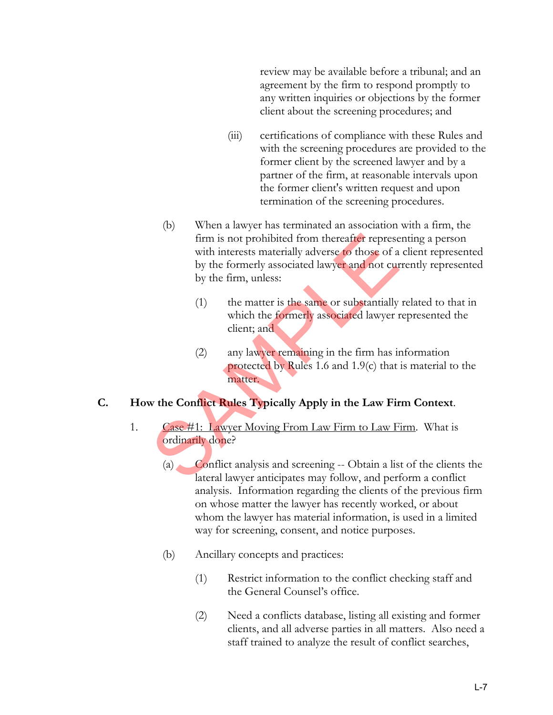review may be available before a tribunal; and an agreement by the firm to respond promptly to any written inquiries or objections by the former client about the screening procedures; and

- (iii) certifications of compliance with these Rules and with the screening procedures are provided to the former client by the screened lawyer and by a partner of the firm, at reasonable intervals upon the former client's written request and upon termination of the screening procedures.
- (b) When a lawyer has terminated an association with a firm, the firm is not prohibited from thereafter representing a person with interests materially adverse to those of a client represented by the formerly associated lawyer and not currently represented by the firm, unless:
	- $(1)$  the matter is the same or substantially related to that in which the formerly associated lawyer represented the client; and
	- (2) any lawyer remaining in the firm has information protected by Rules 1.6 and 1.9(c) that is material to the matter.

#### **C. How the Conflict Rules Typically Apply in the Law Firm Context**.

- 1. Case #1: Lawyer Moving From Law Firm to Law Firm. What is ordinarily done?
- (a) Conflict analysis and screening -- Obtain a list of the clients the lateral lawyer anticipates may follow, and perform a conflict analysis. Information regarding the clients of the previous firm on whose matter the lawyer has recently worked, or about whom the lawyer has material information, is used in a limited way for screening, consent, and notice purposes. Firm is not probibited from the<br>realth representing a person with interests materially abverse to those of a client represented<br>by the formerly associated lawyer and not currently represented<br>by the formerly associated la
	- (b) Ancillary concepts and practices:
		- (1) Restrict information to the conflict checking staff and the General Counsel's office.
		- (2) Need a conflicts database, listing all existing and former clients, and all adverse parties in all matters. Also need a staff trained to analyze the result of conflict searches,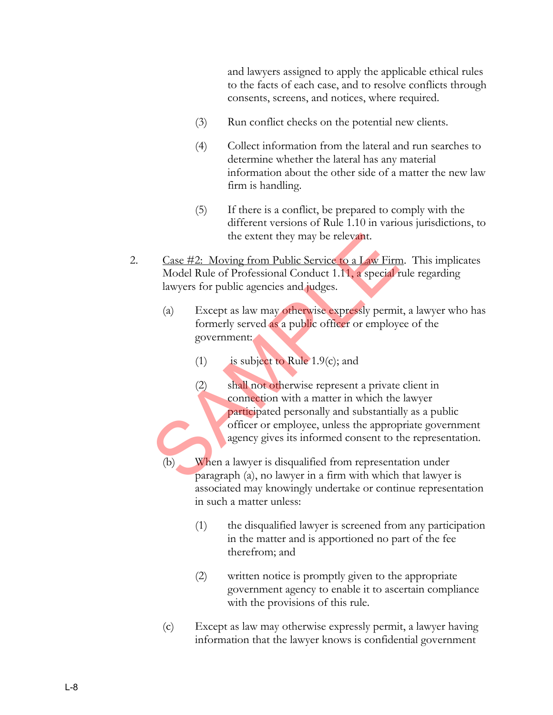and lawyers assigned to apply the applicable ethical rules to the facts of each case, and to resolve conflicts through consents, screens, and notices, where required.

- (3) Run conflict checks on the potential new clients.
- (4) Collect information from the lateral and run searches to determine whether the lateral has any material information about the other side of a matter the new law firm is handling.
- (5) If there is a conflict, be prepared to comply with the different versions of Rule 1.10 in various jurisdictions, to the extent they may be relevant.
- 2. Case #2: Moving from Public Service to a Law Firm. This implicates Model Rule of Professional Conduct 1.11, a special rule regarding lawyers for public agencies and judges.
	- (a) Except as law may otherwise expressly permit, a lawyer who has formerly served as a public officer or employee of the government:
		- (1) is subject to Rule 1.9(c); and
- (2) shall not otherwise represent a private client in connection with a matter in which the lawyer participated personally and substantially as a public officer or employee, unless the appropriate government agency gives its informed consent to the representation. the extent they may be relevant.<br>
2. Case #2: Moving from Public Service to a Law Firm<br>
Nodel Rule of Professional Conduct 1.11, a special ratio<br>
analyses for public agencies and andges.<br>
(a) Except as law may otherwise ex
	- When a lawyer is disqualified from representation under paragraph (a), no lawyer in a firm with which that lawyer is associated may knowingly undertake or continue representation in such a matter unless:
		- (1) the disqualified lawyer is screened from any participation in the matter and is apportioned no part of the fee therefrom; and
		- (2) written notice is promptly given to the appropriate government agency to enable it to ascertain compliance with the provisions of this rule.
	- (c) Except as law may otherwise expressly permit, a lawyer having information that the lawyer knows is confidential government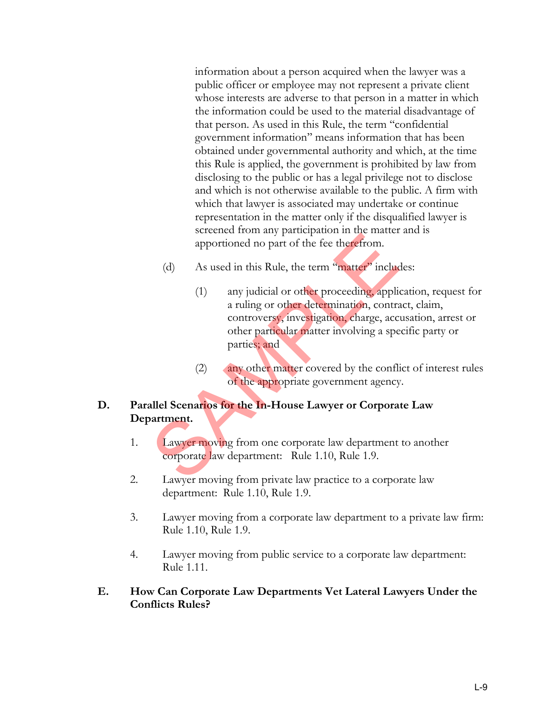information about a person acquired when the lawyer was a public officer or employee may not represent a private client whose interests are adverse to that person in a matter in which the information could be used to the material disadvantage of that person. As used in this Rule, the term ''confidential government information'' means information that has been obtained under governmental authority and which, at the time this Rule is applied, the government is prohibited by law from disclosing to the public or has a legal privilege not to disclose and which is not otherwise available to the public. A firm with which that lawyer is associated may undertake or continue representation in the matter only if the disqualified lawyer is screened from any participation in the matter and is apportioned no part of the fee therefrom.

- (d) As used in this Rule, the term "matter" includes:
- (1) any judicial or other proceeding, application, request for a ruling or other determination, contract, claim, controversy, investigation, charge, accusation, arrest or other particular matter involving a specific party or parties; and structure and any paradepartamental metallicity<br>apportioned no part of the fee theoreticon.<br>
(d) As used in this Rule, the term "matter" includes:<br>
(1) any judicial or other proceeding, application, request for<br>
a ruling o
	- (2) any other matter covered by the conflict of interest rules of the appropriate government agency.

## **D. Parallel Scenarios for the In-House Lawyer or Corporate Law Department.**

- 1. Lawyer moving from one corporate law department to another corporate law department: Rule 1.10, Rule 1.9.
- 2. Lawyer moving from private law practice to a corporate law department: Rule 1.10, Rule 1.9.
- 3. Lawyer moving from a corporate law department to a private law firm: Rule 1.10, Rule 1.9.
- 4. Lawyer moving from public service to a corporate law department: Rule 1.11.

#### **E. How Can Corporate Law Departments Vet Lateral Lawyers Under the Conflicts Rules?**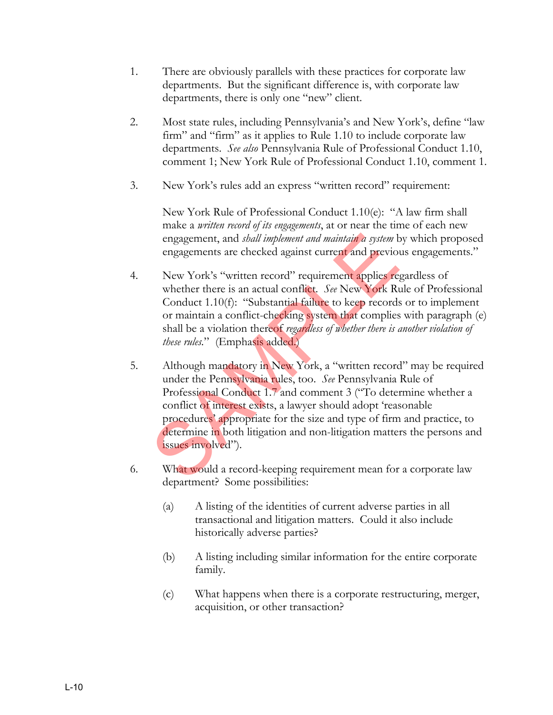- 1. There are obviously parallels with these practices for corporate law departments. But the significant difference is, with corporate law departments, there is only one "new" client.
- 2. Most state rules, including Pennsylvania's and New York's, define "law firm" and "firm" as it applies to Rule 1.10 to include corporate law departments. *See also* Pennsylvania Rule of Professional Conduct 1.10, comment 1; New York Rule of Professional Conduct 1.10, comment 1.
- 3. New York's rules add an express "written record" requirement:

New York Rule of Professional Conduct 1.10(e): "A law firm shall make a *written record of its engagements*, at or near the time of each new engagement, and *shall implement and maintain a system* by which proposed engagements are checked against current and previous engagements."

- 4. New York's "written record" requirement applies regardless of whether there is an actual conflict. *See* New York Rule of Professional Conduct 1.10(f): "Substantial failure to keep records or to implement or maintain a conflict-checking system that complies with paragraph (e) shall be a violation thereof *regardless of whether there is another violation of these rules.*" (Emphasis added.)
- 5. Although mandatory in New York, a "written record" may be required under the Pennsylvania rules, too. *See* Pennsylvania Rule of Professional Conduct 1.7 and comment 3 ("To determine whether a conflict of interest exists, a lawyer should adopt 'reasonable procedures' appropriate for the size and type of firm and practice, to determine in both litigation and non-litigation matters the persons and issues involved"). engagement, and *shall implement and maintain* a gutew bengagement sare checked against current and previous  $\lambda$  Work's "wivit-or record" requirement applies we be the whether there is an actual conflict. See New York R,
	- 6. What would a record-keeping requirement mean for a corporate law department? Some possibilities:
		- (a) A listing of the identities of current adverse parties in all transactional and litigation matters. Could it also include historically adverse parties?
		- (b) A listing including similar information for the entire corporate family.
		- (c) What happens when there is a corporate restructuring, merger, acquisition, or other transaction?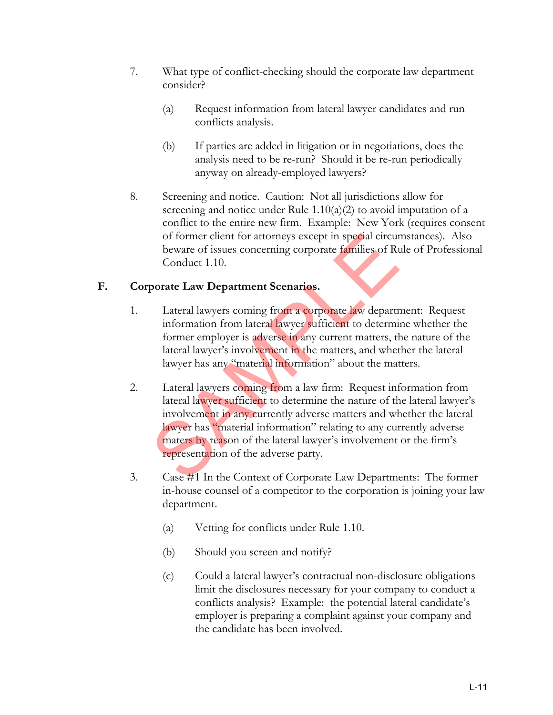- 7. What type of conflict-checking should the corporate law department consider?
	- (a) Request information from lateral lawyer candidates and run conflicts analysis.
	- (b) If parties are added in litigation or in negotiations, does the analysis need to be re-run? Should it be re-run periodically anyway on already-employed lawyers?
- 8. Screening and notice. Caution: Not all jurisdictions allow for screening and notice under Rule  $1.10(a)(2)$  to avoid imputation of a conflict to the entire new firm. Example: New York (requires consent of former client for attorneys except in special circumstances). Also beware of issues concerning corporate families of Rule of Professional Conduct 1.10.

#### **F. Corporate Law Department Scenarios.**

- 1. Lateral lawyers coming from a corporate law department: Request information from lateral lawyer sufficient to determine whether the former employer is adverse in any current matters, the nature of the lateral lawyer's involvement in the matters, and whether the lateral lawyer has any "material information" about the matters.
- 2. Lateral lawyers coming from a law firm: Request information from lateral lawyer sufficient to determine the nature of the lateral lawyer's involvement in any currently adverse matters and whether the lateral lawyer has "material information" relating to any currently adverse maters by reason of the lateral lawyer's involvement or the firm's representation of the adverse party. of former client for attomeys except in special circumstances). Also<br>
for former clients conocerning corporate **families** of Rule of Professional<br>
Conduct 1.10.<br> **Dorate Law Department Seenarios.**<br>
Lateral lawyers coming f
- 3. Case #1 In the Context of Corporate Law Departments: The former in-house counsel of a competitor to the corporation is joining your law department.
	- (a) Vetting for conflicts under Rule 1.10.
	- (b) Should you screen and notify?
	- (c) Could a lateral lawyer's contractual non-disclosure obligations limit the disclosures necessary for your company to conduct a conflicts analysis? Example: the potential lateral candidate's employer is preparing a complaint against your company and the candidate has been involved.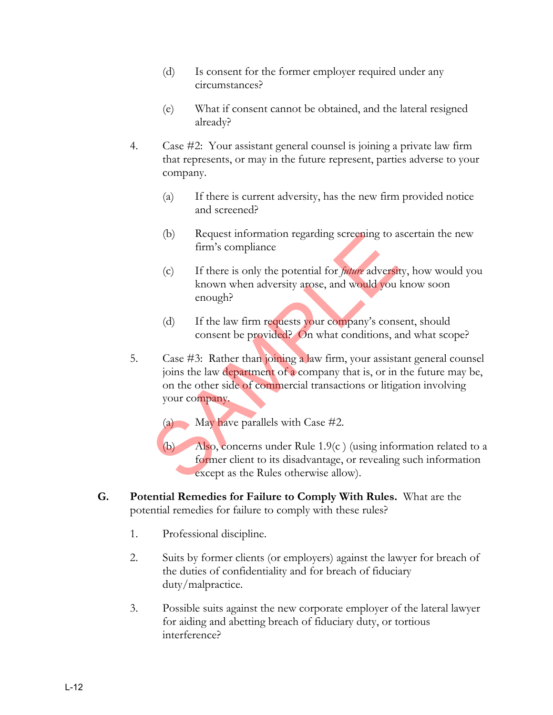- (d) Is consent for the former employer required under any circumstances?
- (e) What if consent cannot be obtained, and the lateral resigned already?
- 4. Case #2: Your assistant general counsel is joining a private law firm that represents, or may in the future represent, parties adverse to your company.
	- (a) If there is current adversity, has the new firm provided notice and screened?
	- (b) Request information regarding screening to ascertain the new firm's compliance
	- (c) If there is only the potential for *future* adversity, how would you known when adversity arose, and would you know soon enough?
	- (d) If the law firm requests your company's consent, should consent be provided? On what conditions, and what scope?
- 5. Case #3: Rather than joining a law firm, your assistant general counsel joins the law department of a company that is, or in the future may be, on the other side of commercial transactions or litigation involving your company. (b) Request information regarding screening to a<br>firm's compliance<br>(c) If there is only the potential for *fidure* adversation<br>with a law firm respectively aroses, and weaked you<br>enough?<br>(d) If the law firm respects your

(a) May have parallels with Case #2.

- (b) Also, concerns under Rule 1.9(c ) (using information related to a former client to its disadvantage, or revealing such information except as the Rules otherwise allow).
- **G. Potential Remedies for Failure to Comply With Rules.** What are the potential remedies for failure to comply with these rules?
	- 1. Professional discipline.
	- 2. Suits by former clients (or employers) against the lawyer for breach of the duties of confidentiality and for breach of fiduciary duty/malpractice.
	- 3. Possible suits against the new corporate employer of the lateral lawyer for aiding and abetting breach of fiduciary duty, or tortious interference?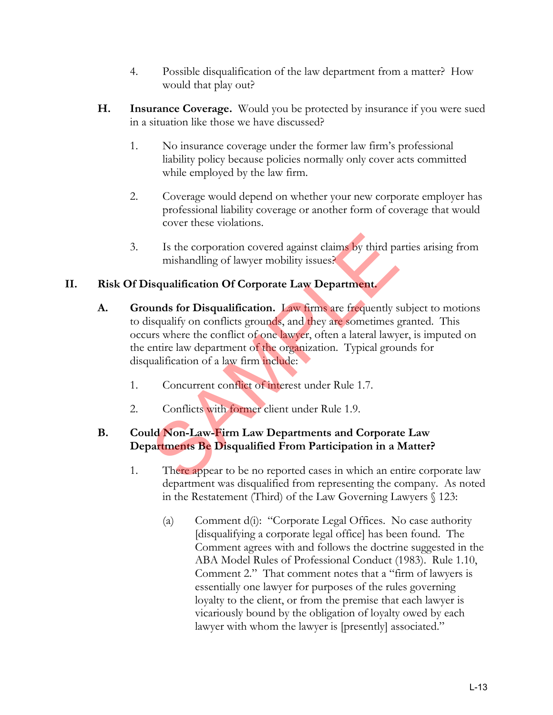- 4. Possible disqualification of the law department from a matter? How would that play out?
- <span id="page-13-0"></span>**H. Insurance Coverage.** Would you be protected by insurance if you were sued in a situation like those we have discussed?
	- 1. No insurance coverage under the former law firm's professional liability policy because policies normally only cover acts committed while employed by the law firm.
	- 2. Coverage would depend on whether your new corporate employer has professional liability coverage or another form of coverage that would cover these violations.
	- 3. Is the corporation covered against claims by third parties arising from mishandling of lawyer mobility issues?

#### **II. Risk Of Disqualification Of Corporate Law Department.**

- **A. Grounds for Disqualification.** Law firms are frequently subject to motions to disqualify on conflicts grounds, and they are sometimes granted. This occurs where the conflict of one lawyer, often a lateral lawyer, is imputed on the entire law department of the organization. Typical grounds for disqualification of a law firm include:
	- 1. Concurrent conflict of interest under Rule 1.7.
	- 2. Conflicts with former client under Rule 1.9.

#### **B. Could Non-Law-Firm Law Departments and Corporate Law Departments Be Disqualified From Participation in a Matter?**

- 1. There appear to be no reported cases in which an entire corporate law department was disqualified from representing the company. As noted in the Restatement (Third) of the Law Governing Lawyers § 123:
- (a) Comment d(i): "Corporate Legal Offices. No case authority [disqualifying a corporate legal office] has been found. The Comment agrees with and follows the doctrine suggested in the ABA Model Rules of Professional Conduct (1983). Rule 1.10, Comment 2." That comment notes that a "firm of lawyers is essentially one lawyer for purposes of the rules governing loyalty to the client, or from the premise that each lawyer is vicariously bound by the obligation of loyalty owed by each lawyer with whom the lawyer is [presently] associated." 1s the corporation covered against claims by third parties arising from<br>
mishandling of lawyer mobility issues?<br> **Equalification Of Corporate Law Department.**<br> **Law herms are frequently** subject to motions<br>
signalify on c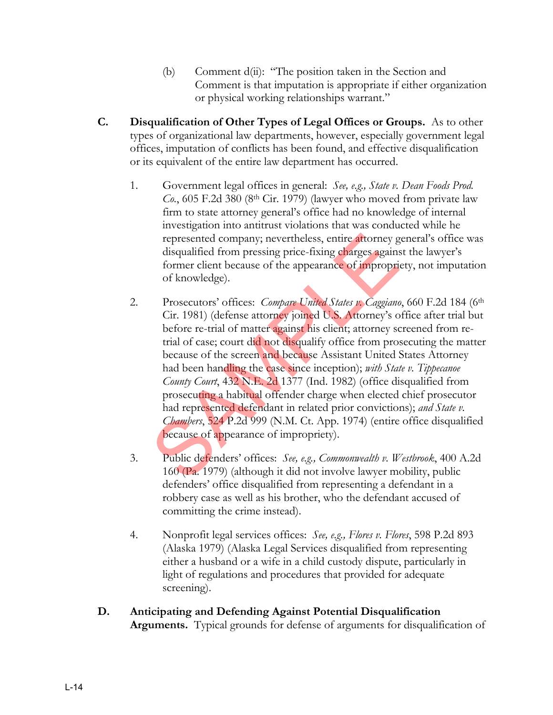- (b) Comment d(ii): "The position taken in the Section and Comment is that imputation is appropriate if either organization or physical working relationships warrant."
- **C. Disqualification of Other Types of Legal Offices or Groups.** As to other types of organizational law departments, however, especially government legal offices, imputation of conflicts has been found, and effective disqualification or its equivalent of the entire law department has occurred.
	- 1. Government legal offices in general: *See, e.g., State v. Dean Foods Prod. Co.*, 605 F.2d 380 (8th Cir. 1979) (lawyer who moved from private law firm to state attorney general's office had no knowledge of internal investigation into antitrust violations that was conducted while he represented company; nevertheless, entire attorney general's office was disqualified from pressing price-fixing charges against the lawyer's former client because of the appearance of impropriety, not imputation of knowledge).
- 2. Prosecutors' offices: *Compare United States v. Caggiano*, 660 F.2d 184 (6th Cir. 1981) (defense attorney joined U.S. Attorney's office after trial but before re-trial of matter against his client; attorney screened from retrial of case; court did not disqualify office from prosecuting the matter because of the screen and because Assistant United States Attorney had been handling the case since inception); *with State v. Tippecanoe County Court*, 432 N.E. 2d 1377 (Ind. 1982) (office disqualified from prosecuting a habitual offender charge when elected chief prosecutor had represented defendant in related prior convictions); *and State v. Chambers*, 524 P.2d 999 (N.M. Ct. App. 1974) (entire office disqualified because of appearance of impropriety). represented company; nevertheless, entire attomey g<br>
disqualited from pressing pirce- Exing changes again<br>
former ellent because of the appearance of impropriation<br>
former ellent because of the appearance of impropriation
	- 3. Public defenders' offices: *See, e.g., Commonwealth v. Westbrook*, 400 A.2d 160 (Pa. 1979) (although it did not involve lawyer mobility, public defenders' office disqualified from representing a defendant in a robbery case as well as his brother, who the defendant accused of committing the crime instead).
	- 4. Nonprofit legal services offices: *See, e.g., Flores v. Flores*, 598 P.2d 893 (Alaska 1979) (Alaska Legal Services disqualified from representing either a husband or a wife in a child custody dispute, particularly in light of regulations and procedures that provided for adequate screening).
	- **D. Anticipating and Defending Against Potential Disqualification Arguments.** Typical grounds for defense of arguments for disqualification of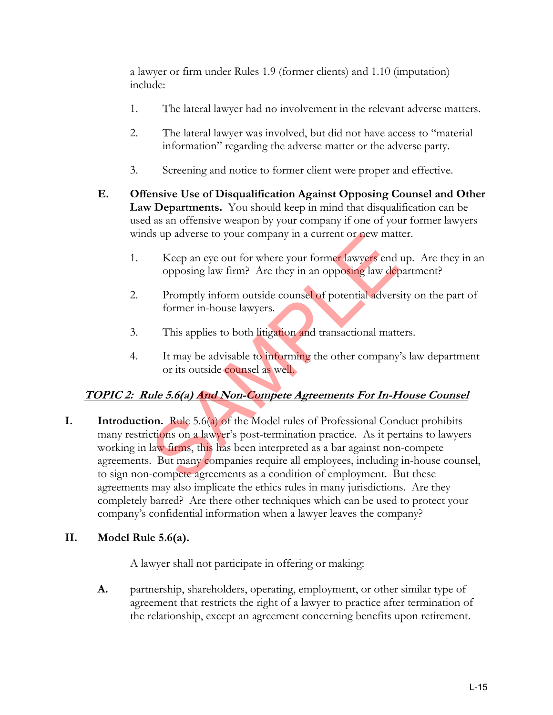<span id="page-15-0"></span>a lawyer or firm under Rules 1.9 (former clients) and 1.10 (imputation) include:

- 1. The lateral lawyer had no involvement in the relevant adverse matters.
- 2. The lateral lawyer was involved, but did not have access to "material information" regarding the adverse matter or the adverse party.
- 3. Screening and notice to former client were proper and effective.
- **E. Offensive Use of Disqualification Against Opposing Counsel and Other Law Departments.** You should keep in mind that disqualification can be used as an offensive weapon by your company if one of your former lawyers winds up adverse to your company in a current or new matter.
	- 1. Keep an eye out for where your former lawyers end up. Are they in an opposing law firm? Are they in an opposing law department?
	- 2. Promptly inform outside counsel of potential adversity on the part of former in-house lawyers.
	- 3. This applies to both litigation and transactional matters.
	- 4. It may be advisable to informing the other company's law department or its outside counsel as well.

# **TOPIC 2: Rule 5.6(a) And Non-Compete Agreements For In-House Counsel**

**I. Introduction.** Rule 5.6(a) of the Model rules of Professional Conduct prohibits many restrictions on a lawyer's post-termination practice. As it pertains to lawyers working in law firms, this has been interpreted as a bar against non-compete agreements. But many companies require all employees, including in-house counsel, to sign non-compete agreements as a condition of employment. But these agreements may also implicate the ethics rules in many jurisdictions. Are they completely barred? Are there other techniques which can be used to protect your company's confidential information when a lawyer leaves the company? Is up adverse to your company in a current or new matter.<br>
Keep an eye out for where your former lawyers end up. Are they in an<br>
opposing law firm? Are they in an opposing law department?<br>
Promply inform outside counsed o

#### **II. Model Rule 5.6(a).**

A lawyer shall not participate in offering or making:

**A.** partnership, shareholders, operating, employment, or other similar type of agreement that restricts the right of a lawyer to practice after termination of the relationship, except an agreement concerning benefits upon retirement.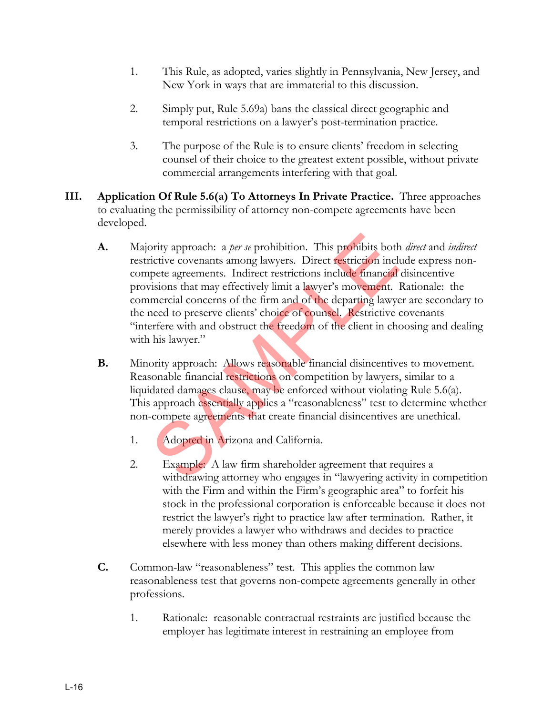- <span id="page-16-0"></span>1. This Rule, as adopted, varies slightly in Pennsylvania, New Jersey, and New York in ways that are immaterial to this discussion.
- 2. Simply put, Rule 5.69a) bans the classical direct geographic and temporal restrictions on a lawyer's post-termination practice.
- 3. The purpose of the Rule is to ensure clients' freedom in selecting counsel of their choice to the greatest extent possible, without private commercial arrangements interfering with that goal.
- **III. Application Of Rule 5.6(a) To Attorneys In Private Practice.** Three approaches to evaluating the permissibility of attorney non-compete agreements have been developed.
- **A.** Majority approach: a *per se* prohibition. This prohibits both *direct* and *indirect*  restrictive covenants among lawyers. Direct restriction include express noncompete agreements. Indirect restrictions include financial disincentive provisions that may effectively limit a lawyer's movement. Rationale: the commercial concerns of the firm and of the departing lawyer are secondary to the need to preserve clients' choice of counsel. Restrictive covenants "interfere with and obstruct the freedom of the client in choosing and dealing with his lawyer." A. Majority approach: a *per* se prohibition. This probibits both restrictive coverants among lawyers. Direct restriction inclomentes agreements. Indirect restrictions include financial provisions that may effectively lim
	- **B.** Minority approach: Allows reasonable financial disincentives to movement. Reasonable financial restrictions on competition by lawyers, similar to a liquidated damages clause, may be enforced without violating Rule 5.6(a). This approach essentially applies a "reasonableness" test to determine whether non-compete agreements that create financial disincentives are unethical.
		- 1. Adopted in Arizona and California.
		- 2. Example: A law firm shareholder agreement that requires a withdrawing attorney who engages in "lawyering activity in competition with the Firm and within the Firm's geographic area" to forfeit his stock in the professional corporation is enforceable because it does not restrict the lawyer's right to practice law after termination. Rather, it merely provides a lawyer who withdraws and decides to practice elsewhere with less money than others making different decisions.
	- **C.** Common-law "reasonableness" test. This applies the common law reasonableness test that governs non-compete agreements generally in other professions.
		- 1. Rationale: reasonable contractual restraints are justified because the employer has legitimate interest in restraining an employee from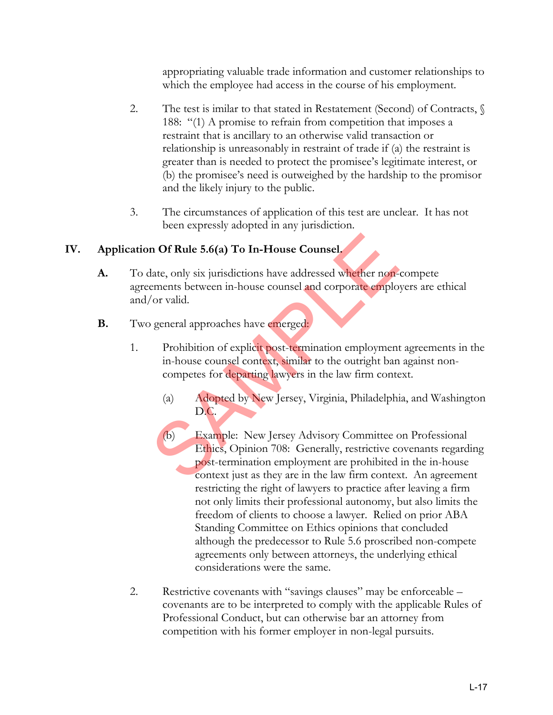appropriating valuable trade information and customer relationships to which the employee had access in the course of his employment.

- <span id="page-17-0"></span>2. The test is imilar to that stated in Restatement (Second) of Contracts, § 188: "(1) A promise to refrain from competition that imposes a restraint that is ancillary to an otherwise valid transaction or relationship is unreasonably in restraint of trade if (a) the restraint is greater than is needed to protect the promisee's legitimate interest, or (b) the promisee's need is outweighed by the hardship to the promisor and the likely injury to the public.
- 3. The circumstances of application of this test are unclear. It has not been expressly adopted in any jurisdiction.

## **IV. Application Of Rule 5.6(a) To In-House Counsel.**

- **A.** To date, only six jurisdictions have addressed whether non-compete agreements between in-house counsel and corporate employers are ethical and/or valid.
- **B.** Two general approaches have emerged:
	- 1. Prohibition of explicit post-termination employment agreements in the in-house counsel context, similar to the outright ban against noncompetes for departing lawyers in the law firm context.
		- (a) Adopted by New Jersey, Virginia, Philadelphia, and Washington D.C.
- (b) Example: New Jersey Advisory Committee on Professional Ethics, Opinion 708: Generally, restrictive covenants regarding post-termination employment are prohibited in the in-house context just as they are in the law firm context. An agreement restricting the right of lawyers to practice after leaving a firm not only limits their professional autonomy, but also limits the freedom of clients to choose a lawyer. Relied on prior ABA Standing Committee on Ethics opinions that concluded although the predecessor to Rule 5.6 proscribed non-compete agreements only between attorneys, the underlying ethical considerations were the same. **n Of Rule 5.6(a) To In-House Counsel<br>
Elate, only six junisdictions have addressed whether non-compete ements between in-house counsed and corporate employers are ethical<br>
or valid.<br>
Yor valid.<br>
Servers in-house counsed** 
	- 2. Restrictive covenants with "savings clauses" may be enforceable covenants are to be interpreted to comply with the applicable Rules of Professional Conduct, but can otherwise bar an attorney from competition with his former employer in non-legal pursuits.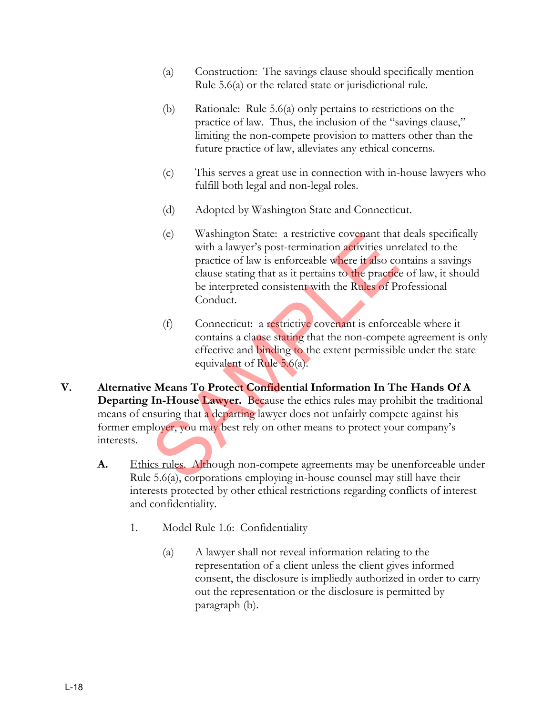- <span id="page-18-0"></span>(a) Construction: The savings clause should specifically mention Rule 5.6(a) or the related state or jurisdictional rule.
- (b) Rationale: Rule 5.6(a) only pertains to restrictions on the practice of law. Thus, the inclusion of the "savings clause," limiting the non-compete provision to matters other than the future practice of law, alleviates any ethical concerns.
- (c) This serves a great use in connection with in-house lawyers who fulfill both legal and non-legal roles.
- (d) Adopted by Washington State and Connecticut.
- (e) Washington State: a restrictive covenant that deals specifically with a lawyer's post-termination activities unrelated to the practice of law is enforceable where it also contains a savings clause stating that as it pertains to the practice of law, it should be interpreted consistent with the Rules of Professional Conduct.
- (f) Connecticut: a restrictive covenant is enforceable where it contains a clause stating that the non-compete agreement is only effective and binding to the extent permissible under the state equivalent of Rule 5.6(a).
- **V. Alternative Means To Protect Confidential Information In The Hands Of A Departing In-House Lawyer.** Because the ethics rules may prohibit the traditional means of ensuring that a departing lawyer does not unfairly compete against his former employer, you may best rely on other means to protect your company's interests. (e) Washington Mate: a restrictive covenant that<br>with a lawyer's post-termination ageorities unrelate where in also co<br>clause stating that as it pertains to the pnedeted<br>of the interpreted consistent with the Rules of P-<br>
	- **A.** Ethics rules. Although non-compete agreements may be unenforceable under Rule 5.6(a), corporations employing in-house counsel may still have their interests protected by other ethical restrictions regarding conflicts of interest and confidentiality.
		- 1. Model Rule 1.6: Confidentiality
			- (a) A lawyer shall not reveal information relating to the representation of a client unless the client gives informed consent, the disclosure is impliedly authorized in order to carry out the representation or the disclosure is permitted by paragraph (b).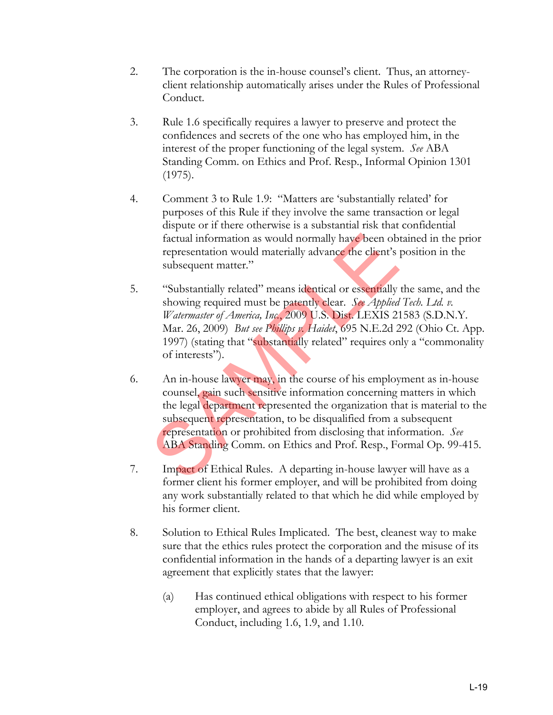- 2. The corporation is the in-house counsel's client. Thus, an attorneyclient relationship automatically arises under the Rules of Professional Conduct.
- 3. Rule 1.6 specifically requires a lawyer to preserve and protect the confidences and secrets of the one who has employed him, in the interest of the proper functioning of the legal system.*See* ABA Standing Comm. on Ethics and Prof. Resp., Informal Opinion 1301 (1975).
- 4. Comment 3 to Rule 1.9: "Matters are 'substantially related' for purposes of this Rule if they involve the same transaction or legal dispute or if there otherwise is a substantial risk that confidential factual information as would normally have been obtained in the prior representation would materially advance the client's position in the subsequent matter."
- 5. "Substantially related" means identical or essentially the same, and the showing required must be patently clear. *See Applied Tech. Ltd. v. Watermaster of America, Inc.*, 2009 U.S. Dist. LEXIS 21583 (S.D.N.Y. Mar. 26, 2009) *But see Phillips v. Haidet*, 695 N.E.2d 292 (Ohio Ct. App. 1997) (stating that "substantially related" requires only a "commonality of interests").
- 6. An in-house lawyer may, in the course of his employment as in-house counsel, gain such sensitive information concerning matters in which the legal department represented the organization that is material to the subsequent representation, to be disqualified from a subsequent representation or prohibited from disclosing that information. *See* ABA Standing Comm. on Ethics and Prof. Resp., Formal Op. 99-415. factual information as would normally have been obtained in the prior<br>representation would materially advance the eligent's position in the<br>subsequent matter."<br>
"Substantially related." means identical or essentially the
- 7. Impact of Ethical Rules. A departing in-house lawyer will have as a former client his former employer, and will be prohibited from doing any work substantially related to that which he did while employed by his former client.
- 8. Solution to Ethical Rules Implicated. The best, cleanest way to make sure that the ethics rules protect the corporation and the misuse of its confidential information in the hands of a departing lawyer is an exit agreement that explicitly states that the lawyer:
	- (a) Has continued ethical obligations with respect to his former employer, and agrees to abide by all Rules of Professional Conduct, including 1.6, 1.9, and 1.10.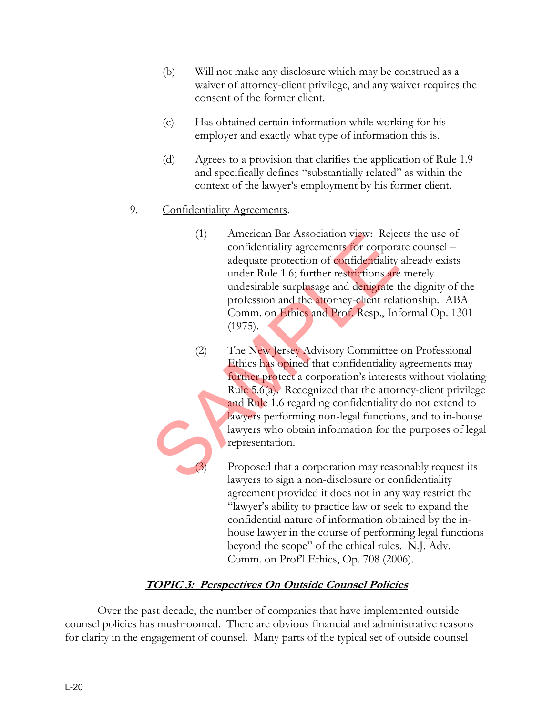- <span id="page-20-0"></span>(b) Will not make any disclosure which may be construed as a waiver of attorney-client privilege, and any waiver requires the consent of the former client.
- (c) Has obtained certain information while working for his employer and exactly what type of information this is.
- (d) Agrees to a provision that clarifies the application of Rule 1.9 and specifically defines "substantially related" as within the context of the lawyer's employment by his former client.
- 9. Confidentiality Agreements.
	- (1) American Bar Association view: Rejects the use of confidentiality agreements for corporate counsel – adequate protection of confidentiality already exists under Rule 1.6; further restrictions are merely undesirable surplusage and denigrate the dignity of the profession and the attorney-client relationship. ABA Comm. on Ethics and Prof. Resp., Informal Op. 1301 (1975).
- (2) The New Jersey Advisory Committee on Professional Ethics has opined that confidentiality agreements may further protect a corporation's interests without violating Rule  $5.6(a)$ . Recognized that the attorney-client privilege and Rule 1.6 regarding confidentiality do not extend to lawyers performing non-legal functions, and to in-house lawyers who obtain information for the purposes of legal representation. (1) Amencan bar Associatory we keep<br>confidentiality agreements for corporate and confidentiality are entered to the compare and equation to describe the set of star and the attorney elient relations are profession and the

Proposed that a corporation may reasonably request its lawyers to sign a non-disclosure or confidentiality agreement provided it does not in any way restrict the "lawyer's ability to practice law or seek to expand the confidential nature of information obtained by the inhouse lawyer in the course of performing legal functions beyond the scope" of the ethical rules. N.J. Adv. Comm. on Prof'l Ethics, Op. 708 (2006).

#### **TOPIC 3: Perspectives On Outside Counsel Policies**

 Over the past decade, the number of companies that have implemented outside counsel policies has mushroomed. There are obvious financial and administrative reasons for clarity in the engagement of counsel. Many parts of the typical set of outside counsel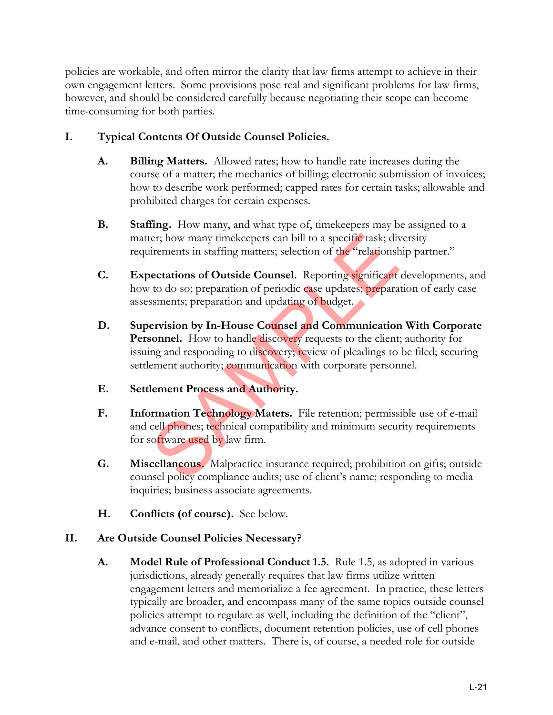<span id="page-21-0"></span>policies are workable, and often mirror the clarity that law firms attempt to achieve in their own engagement letters. Some provisions pose real and significant problems for law firms, however, and should be considered carefully because negotiating their scope can become time-consuming for both parties.

## **I. Typical Contents Of Outside Counsel Policies.**

- **A. Billing Matters.** Allowed rates; how to handle rate increases during the course of a matter; the mechanics of billing; electronic submission of invoices; how to describe work performed; capped rates for certain tasks; allowable and prohibited charges for certain expenses.
- **B. Staffing.** How many, and what type of, timekeepers may be assigned to a matter; how many timekeepers can bill to a specific task; diversity requirements in staffing matters; selection of the "relationship partner."
- **C. Expectations of Outside Counsel.** Reporting significant developments, and how to do so; preparation of periodic case updates; preparation of early case assessments; preparation and updating of budget.
- **D. Supervision by In-House Counsel and Communication With Corporate Personnel.** How to handle discovery requests to the client; authority for issuing and responding to discovery; review of pleadings to be filed; securing settlement authority; communication with corporate personnel.

#### **E. Settlement Process and Authority.**

- **F. Information Technology Maters.** File retention; permissible use of e-mail and cell phones; technical compatibility and minimum security requirements for software used by law firm.
- **G. Miscellaneous.** Malpractice insurance required; prohibition on gifts; outside counsel policy compliance audits; use of client's name; responding to media inquiries; business associate agreements.
- **H. Conflicts (of course).** See below.

#### **II. Are Outside Counsel Policies Necessary?**

**A. Model Rule of Professional Conduct 1.5.** Rule 1.5, as adopted in various jurisdictions, already generally requires that law firms utilize written engagement letters and memorialize a fee agreement. In practice, these letters typically are broader, and encompass many of the same topics outside counsel policies attempt to regulate as well, including the definition of the "client", advance consent to conflicts, document retention policies, use of cell phones and e-mail, and other matters. There is, of course, a needed role for outside ier, how many timckeepers can bill to a specific task; diversity<br>incriments in staffing matters; selection of the "relationship partner."<br>
cectations of Outside Counsel. Reporting somificant developments, and<br>
to do so; pr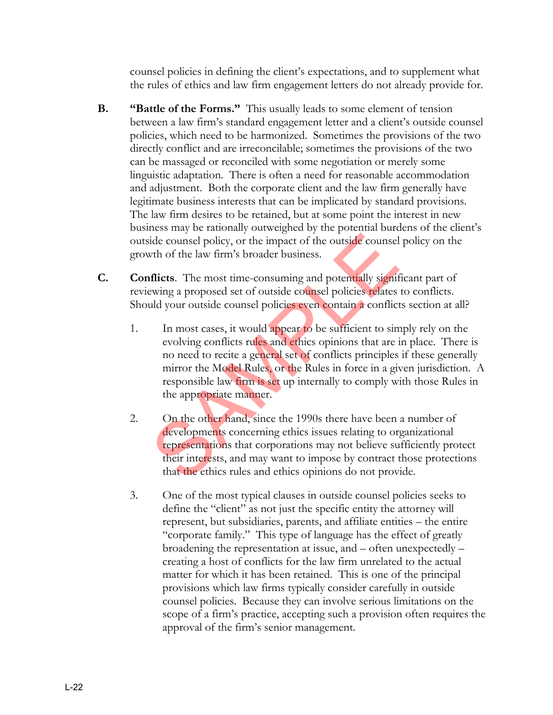counsel policies in defining the client's expectations, and to supplement what the rules of ethics and law firm engagement letters do not already provide for.

- **B. "Battle of the Forms."** This usually leads to some element of tension between a law firm's standard engagement letter and a client's outside counsel policies, which need to be harmonized. Sometimes the provisions of the two directly conflict and are irreconcilable; sometimes the provisions of the two can be massaged or reconciled with some negotiation or merely some linguistic adaptation. There is often a need for reasonable accommodation and adjustment. Both the corporate client and the law firm generally have legitimate business interests that can be implicated by standard provisions. The law firm desires to be retained, but at some point the interest in new business may be rationally outweighed by the potential burdens of the client's outside counsel policy, or the impact of the outside counsel policy on the growth of the law firm's broader business.
- **C. Conflicts**. The most time-consuming and potentially significant part of reviewing a proposed set of outside counsel policies relates to conflicts. Should your outside counsel policies even contain a conflicts section at all?
	- 1. In most cases, it would appear to be sufficient to simply rely on the evolving conflicts rules and ethics opinions that are in place. There is no need to recite a general set of conflicts principles if these generally mirror the Model Rules, or the Rules in force in a given jurisdiction. A responsible law firm is set up internally to comply with those Rules in the appropriate manner.
	- 2. On the other hand, since the 1990s there have been a number of developments concerning ethics issues relating to organizational representations that corporations may not believe sufficiently protect their interests, and may want to impose by contract those protections that the ethics rules and ethics opinions do not provide.
- 3. One of the most typical clauses in outside counsel policies seeks to define the "client" as not just the specific entity the attorney will represent, but subsidiaries, parents, and affiliate entities – the entire "corporate family." This type of language has the effect of greatly broadening the representation at issue, and – often unexpectedly – creating a host of conflicts for the law firm unrelated to the actual matter for which it has been retained. This is one of the principal provisions which law firms typically consider carefully in outside counsel policies. Because they can involve serious limitations on the scope of a firm's practice, accepting such a provision often requires the approval of the firm's senior management. outside counsel policy, or the impact of the outside counsel growth of the law firm's broader business.<br> **C. Conflicts**. The most time-consuming and potentially significary the most time-consuming and proteinally signif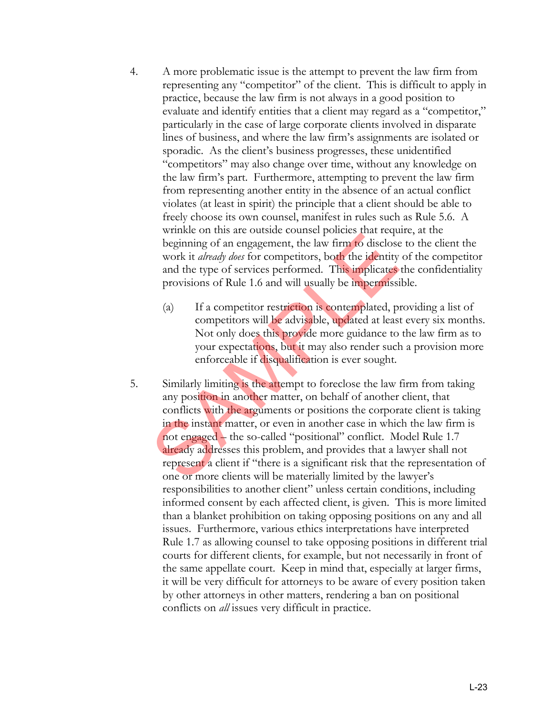- 4. A more problematic issue is the attempt to prevent the law firm from representing any "competitor" of the client. This is difficult to apply in practice, because the law firm is not always in a good position to evaluate and identify entities that a client may regard as a "competitor," particularly in the case of large corporate clients involved in disparate lines of business, and where the law firm's assignments are isolated or sporadic. As the client's business progresses, these unidentified "competitors" may also change over time, without any knowledge on the law firm's part. Furthermore, attempting to prevent the law firm from representing another entity in the absence of an actual conflict violates (at least in spirit) the principle that a client should be able to freely choose its own counsel, manifest in rules such as Rule 5.6. A wrinkle on this are outside counsel policies that require, at the beginning of an engagement, the law firm to disclose to the client the work it *already does* for competitors, both the identity of the competitor and the type of services performed. This implicates the confidentiality provisions of Rule 1.6 and will usually be impermissible.
	- (a) If a competitor restriction is contemplated, providing a list of competitors will be advisable, updated at least every six months. Not only does this provide more guidance to the law firm as to your expectations, but it may also render such a provision more enforceable if disqualification is ever sought.
- 5. Similarly limiting is the attempt to foreclose the law firm from taking any position in another matter, on behalf of another client, that conflicts with the arguments or positions the corporate client is taking in the instant matter, or even in another case in which the law firm is not engaged – the so-called "positional" conflict. Model Rule 1.7 already addresses this problem, and provides that a lawyer shall not represent a client if "there is a significant risk that the representation of one or more clients will be materially limited by the lawyer's responsibilities to another client" unless certain conditions, including informed consent by each affected client, is given. This is more limited than a blanket prohibition on taking opposing positions on any and all issues. Furthermore, various ethics interpretations have interpreted Rule 1.7 as allowing counsel to take opposing positions in different trial courts for different clients, for example, but not necessarily in front of the same appellate court. Keep in mind that, especially at larger firms, it will be very difficult for attorneys to be aware of every position taken by other attorneys in other matters, rendering a ban on positional conflicts on *all* issues very difficult in practice. Numero that are volcate contained particularly that requires that the solution of the deposite of competitives, both the identity of the competitive of the competitive of the competitive of the competitive and the type of